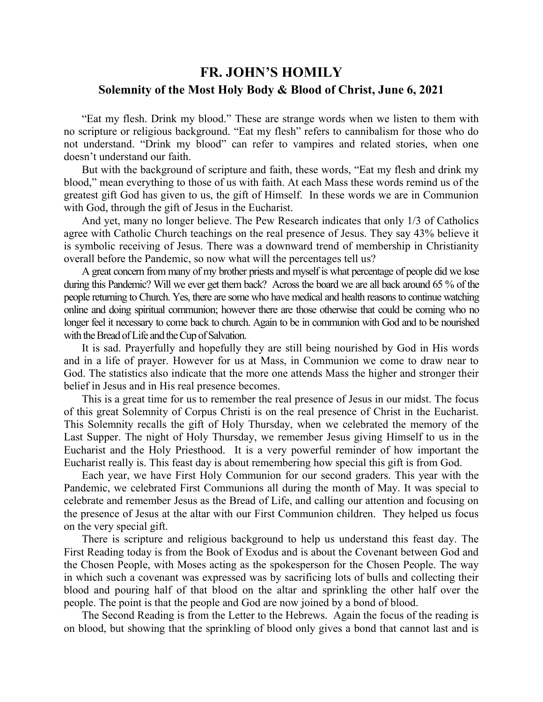## **FR. JOHN'S HOMILY Solemnity of the Most Holy Body & Blood of Christ, June 6, 2021**

 "Eat my flesh. Drink my blood." These are strange words when we listen to them with no scripture or religious background. "Eat my flesh" refers to cannibalism for those who do not understand. "Drink my blood" can refer to vampires and related stories, when one doesn't understand our faith.

 But with the background of scripture and faith, these words, "Eat my flesh and drink my blood," mean everything to those of us with faith. At each Mass these words remind us of the greatest gift God has given to us, the gift of Himself. In these words we are in Communion with God, through the gift of Jesus in the Eucharist.

 And yet, many no longer believe. The Pew Research indicates that only 1/3 of Catholics agree with Catholic Church teachings on the real presence of Jesus. They say 43% believe it is symbolic receiving of Jesus. There was a downward trend of membership in Christianity overall before the Pandemic, so now what will the percentages tell us?

 A great concern from many of my brother priests and myself is what percentage of people did we lose during this Pandemic? Will we ever get them back? Across the board we are all back around 65 % of the people returning to Church. Yes, there are some who have medical and health reasons to continue watching online and doing spiritual communion; however there are those otherwise that could be coming who no longer feel it necessary to come back to church. Again to be in communion with God and to be nourished with the Bread of Life and the Cup of Salvation.

 It is sad. Prayerfully and hopefully they are still being nourished by God in His words and in a life of prayer. However for us at Mass, in Communion we come to draw near to God. The statistics also indicate that the more one attends Mass the higher and stronger their belief in Jesus and in His real presence becomes.

 This is a great time for us to remember the real presence of Jesus in our midst. The focus of this great Solemnity of Corpus Christi is on the real presence of Christ in the Eucharist. This Solemnity recalls the gift of Holy Thursday, when we celebrated the memory of the Last Supper. The night of Holy Thursday, we remember Jesus giving Himself to us in the Eucharist and the Holy Priesthood. It is a very powerful reminder of how important the Eucharist really is. This feast day is about remembering how special this gift is from God.

 Each year, we have First Holy Communion for our second graders. This year with the Pandemic, we celebrated First Communions all during the month of May. It was special to celebrate and remember Jesus as the Bread of Life, and calling our attention and focusing on the presence of Jesus at the altar with our First Communion children. They helped us focus on the very special gift.

 There is scripture and religious background to help us understand this feast day. The First Reading today is from the Book of Exodus and is about the Covenant between God and the Chosen People, with Moses acting as the spokesperson for the Chosen People. The way in which such a covenant was expressed was by sacrificing lots of bulls and collecting their blood and pouring half of that blood on the altar and sprinkling the other half over the people. The point is that the people and God are now joined by a bond of blood.

 The Second Reading is from the Letter to the Hebrews. Again the focus of the reading is on blood, but showing that the sprinkling of blood only gives a bond that cannot last and is